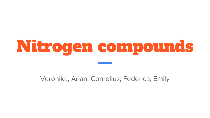# Nitrogen compounds

Veronika, Arian, Cornelius, Federica, Emily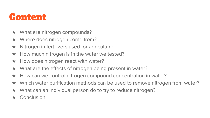#### Content

- $\star$  What are nitrogen compounds?
- $\star$  Where does nitrogen come from?
- $\star$  Nitrogen in fertilizers used for agriculture
- $\star$  How much nitrogen is in the water we tested?
- $\star$  How does nitrogen react with water?
- $\star$  What are the effects of nitrogen being present in water?
- $\star$  How can we control nitrogen compound concentration in water?
- ★ Which water purification methods can be used to remove nitrogen from water?
- ★ What can an individual person do to try to reduce nitrogen?
- ★ Conclusion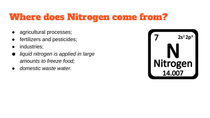#### Where does Nitrogen come from?

- agricultural processes;
- fertilizers and pesticides;
- industries;
- *liquid nitrogen is applied in large amounts to freeze food;*
- *domestic waste water.*

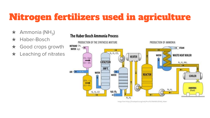### Nitrogen fertilizers used in agriculture

- $\star$  Ammonia (NH<sub>3</sub>)
- ★ Haber-Bosch
- $\star$  Good crops growth
- **★** Leaching of nitrates

#### The Haber Bosch Ammonia Process



Image from https://frwilrpedia.org/wile/Proc%C3%A9d%C3%A9\_Haber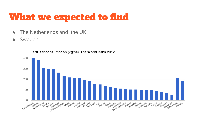#### What we expected to find

- $\star$  The Netherlands and the UK
- ★ Sweden



Fertilizer consumption (kg/ha), The World Bank 2012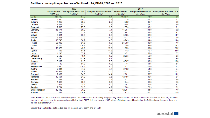|                       | 2007                  |           |                                                     | 2017                  |           |                                                     |
|-----------------------|-----------------------|-----------|-----------------------------------------------------|-----------------------|-----------|-----------------------------------------------------|
|                       | <b>Fertilised UAA</b> |           | Nitrogen/Fertilised UAA   Phosphorus/Fertilised UAA | <b>Fertilised UAA</b> |           | Nitrogen/Fertilised UAA   Phosphorus/Fertilised UAA |
|                       | $(1000)$ ha)          | (kg N/ha) | (kg P/ha)                                           | $(1000)$ ha)          | (kg N/ha) | (kg P/ha)                                           |
| <b>EU-28</b>          | 157 739               | 67.9      | 9.4                                                 | 152 648               | 75.9      | 8.8                                                 |
| <b>Belgium</b>        | 1346                  | 106.0     | 7.4                                                 | 1320                  | 118.2     | 3.7                                                 |
| <b>Bulgaria</b>       | 4968                  | 35.8      | 2.6                                                 | 4 3 5 2               | 80.7      | 6.8                                                 |
| Czechia               | 3565                  | 94.0      | 7.5                                                 | 3486                  | 114.1     | 6.9                                                 |
| <b>Denmark</b>        | 2508                  | 77.6      | 5.6                                                 | 2576                  | 98.2      | 8.1                                                 |
| Germany               | 16 171                | 98.9      | 7.1                                                 | 16 297                | 101.8     | 6.2                                                 |
| <b>Estonia</b>        | 897                   | 27.8      | 3.9                                                 | 961                   | 38.8      | 4.2                                                 |
| Ireland               | 3831                  | 83.9      | 8.5                                                 | 3583                  | 103.0     | 11.7                                                |
| Greece                | 3 2 2 6               | 73.2      | 10.2                                                | 3 1 3 3               | 61.3      | 9.0                                                 |
| Spain                 | 16745                 | 58.9      | 14.5                                                | 16743                 | 64.0      | 11.4                                                |
| France                | 26 933                | 81.6      | 9.0                                                 | 267799                | 83.9      | 7.0                                                 |
| Croatia               | 1 1 7 6               | 110.9     | 15.0                                                | 1040                  | 94.6      | 14.3                                                |
| Italy                 | 13 0 73               | 45.2      | 17.5                                                | 11 3 5 3              | 50.8      | 20.2                                                |
| <b>Cyprus</b>         | 133                   | 61.6      | 14.8                                                | 112                   | 72.3      | 21.0                                                |
| Latvia                | 1240                  | 37.2      | 5.9                                                 | 1472                  | 52.6      | 7.7                                                 |
| Lithuania             | 2588                  | 49.1      | 6.6                                                 | 2833                  | 59.0      | 8.3                                                 |
| Luxembourg            | 130                   | 102.8     | 5.7                                                 | 131                   | 103.6     | 3.9                                                 |
| Hungary               | 5 1 9 7               | 61.5      | 7.3                                                 | 4567                  | 90.9      | 10.8                                                |
| <b>Malta</b>          | 10                    | 61.3      | 6.2                                                 | 11                    | 51.5      | 5.1                                                 |
| <b>Netherlands</b>    | 1845                  | 130.1     | 8.0                                                 | 1731                  | 128.8     | 2.7                                                 |
| <b>Austria</b>        | 2 3 4 4               | 47.3      | 7.7                                                 | 2 1 8 2               | 51.3      | 5.4                                                 |
| Poland                | 14 9 54               | 70.6      | 12.0                                                | 14 0 21               | 82.1      | 10.7                                                |
| Portugal              | 2069                  | 54.6      | 14.4                                                | 2001                  | 50.7      | 11.2                                                |
| Romania               | 12551                 | 21.2      | 3.6                                                 | 12 450                | 30.6      | 5.1                                                 |
| Slovenia              | 448                   | 66.0      | 12.4                                                | 417                   | 64.9      | 9.6                                                 |
| Slovakia              | 1868                  | 60.6      | 5.9                                                 | 1844                  | 66.5      | 5.5                                                 |
| <b>Finland</b>        | 2008                  | 74.1      | 8.0                                                 | 1997                  | 69.6      | 6.1                                                 |
| Sweden                | 2794                  | 59.8      | 4.9                                                 | 2800                  | 70.9      | 5.2                                                 |
| <b>United Kingdom</b> | 13 119                | 76.8      | 7.5                                                 | 12 3 64               | 84.1      | 7.0                                                 |
| Norway                | 881                   | 120.8     | 13.6                                                | 823                   | 120.7     | 10.5                                                |

#### Fertiliser consumption per hectare of fertilised UAA, EU-28, 2007 and 2017

Note: Fertilised UAA is calculated by excluding from UAA the hectares occupied by rough grazing and fallow land. As there are no data available for 2017 yet, 2013 was chosen as reference year for rough grazing and fallow land. EU28, Italy and Norway: 2016 values of UAA were used to calculate the fertilised area, because there are no data available for 2017.

Source: Eurostat (online data codes: aei\_fm\_usefert, apro\_cpsh1 and ef\_oluft)

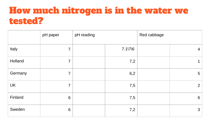#### How much nitrogen is in the water we tested?

|           | pH paper       | pH reading |                  | Red cabbage |                 |
|-----------|----------------|------------|------------------|-------------|-----------------|
| Italy     | $\overline{7}$ |            | $7.1\frac{7}{6}$ |             | $4 \mid$        |
| Holland   | $\overline{7}$ |            | 7,2              |             | $\mathbf 1$     |
| Germany   | $\overline{7}$ |            | 6,2              |             | $5\phantom{.0}$ |
| <b>UK</b> | $\overline{7}$ |            | 7,5              |             | 2 <sup>1</sup>  |
| Finland   | 6              |            | 7,5              |             | 6               |
| Sweden    | 6              |            | 7,2              |             | $\mathbf{3}$    |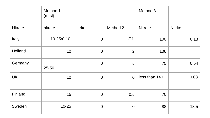|                | Method 1<br>(mg) |                  |                | Method 3       |                |
|----------------|------------------|------------------|----------------|----------------|----------------|
| <b>Nitrate</b> | nitrate          | nitrite          | Method 2       | <b>Nitrate</b> | <b>Nitrite</b> |
| Italy          | $10 - 25/0 - 10$ | $\mathbf 0$      | $2\backslash1$ | 100            | 0,18           |
| Holland        | 10               | $\theta$         | $\overline{2}$ | 106            |                |
| Germany        | 25-50            | $\mathbf 0$      | 5              | 75             | 0,54           |
| UK             | 10               | $\mathbf 0$      | $\mathbf 0$    | less than 140  | 0.08           |
| Finland        | 15               | $\mathbf 0$      | 0,5            | 70             |                |
| Sweden         | $10 - 25$        | $\boldsymbol{0}$ | $\mathbf 0$    | 88             | 13,5           |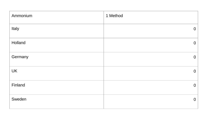| Ammonium  | 1 Method       |
|-----------|----------------|
| Italy     | $\overline{0}$ |
| Holland   | $\overline{0}$ |
| Germany   | $\overline{0}$ |
| <b>UK</b> | $\overline{0}$ |
| Finland   | $\mathbf 0$    |
| Sweden    | $\overline{0}$ |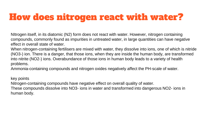#### How does nitrogen react with water?

NItrogen itself, in its diatomic (N2) form does not react with water. However, nitrogen containing compounds, commonly found as impurities in untreated water, in large quantities can have negative effect in overall state of water.

When nitrogen-containing fertilisers are mixed with water, they dissolve into ions, one of which is nitride (NO3-) ion. There is a danger, that those ions, when they are inside the human body, are transformed into nitrite (NO2-) ions. Overabundance of those ions in human body leads to a variety of health problems.

Ammonia-containing compounds and nitrogen oxides negatively affect the PH-scale of water.

key points

Nitrogen-containing compounds have negative effect on overall quality of water.

These compounds dissolve into NO3- ions in water and transformed into dangerous NO2- ions in human body.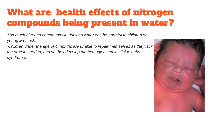## What are health effects of nitrogen compounds being present in water?

*Too much nitrogen compounds in drinking water can be harmful to children or young livestock.*

*Children under the age of 4 months are unable to repair themselves as they lack the protein needed, and so they develop methemoglobinemia. ("blue baby syndrome).*

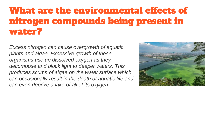#### What are the environmental effects of nitrogen compounds being present in water?

*Excess nitrogen can cause overgrowth of aquatic plants and algae. Excessive growth of these organisms use up dissolved oxygen as they decompose and block light to deeper waters. This produces scums of algae on the water surface which can occasionally result in the death of aquatic life and can even deprive a lake of all of its oxygen.* 

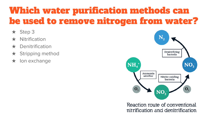### Which water purification methods can be used to remove nitrogen from water?

- ★ Step 3
- **Nitrification**
- Denitrification
- $\star$  Stripping method
- ★ Ion exchange



Reaction route of conventional nitrification and denitrification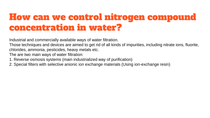#### How can we control nitrogen compound concentration in water?

Industrial and commercially available ways of water filtration.

Those techniques and devices are aimed to get rid of all kinds of impurities, including nitrate ions, fluorite, chlorides, ammonia, pesticides, heavy metals etc.

The are two main ways of water filtration:

- 1. Reverse osmosis systems (main industrialized way of purification)
- 2. Special filters with selective anionic ion exchange materials (Using ion-exchange resin)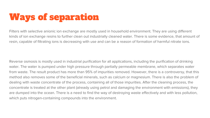## Ways of separation

Filters with selective anionic ion exchange are mostly used in household environment. They are using different kinds of ion exchange resins to further clean out industrially cleaned water. There is some evidence, that amount of resin, capable of filtrating ions is decreasing with use and can be a reason of formation of harmful nitrate ions.

Reverse osmosis is mostly used in industrial purification for all applications, including the purification of drinking water. The water is pumped under high pressure through partially permeable membrane, which separates water from waste. The result product has more than 95% of impurities removed. However, there is a controversy, that this method also removes some of the beneficial minerals, such as calcium or magnesium. There is also the problem of dealing with waste concentrate of the process, containing all of those impurities. After the cleaning process, the concentrate is treated at the other plant (already using petrol and damaging the environment with emissions), they are dumped into the ocean. There is a need to find the way of destroying waste effectively and with less pollution, which puts nitrogen-containing compounds into the environment.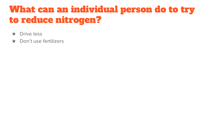#### What can an individual person do to try to reduce nitrogen?

- ★ Drive less
- ★ Don't use fertilizers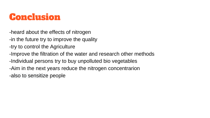#### Conclusion

-heard about the effects of nitrogen

- -in the future try to improve the quality
- -try to control the Agriculture
- -Improve the filtration of the water and research other methods
- -Individual persons try to buy unpolluted bio vegetables
- -Aim in the next years reduce the nitrogen concentrarion
- -also to sensitize people